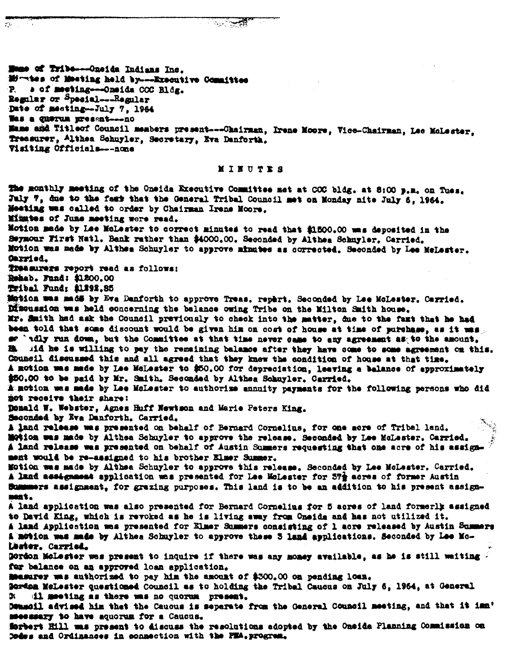$\mathcal{L}^{\mathcal{L}}$ 

Mones of Tribe---Oneida Indians Inc. Minates of Mesting held by---Executive Committee a of meeting-----Oneida COC Bldg.  $P_{\rm c}$ Regular or Special---Regular Date of meeting-July 7, 1964 Was a guerum present---no Mame and Titleof Council members present---Chairman, Irene Moore, Vice-Chairman, Lee MoLester, Treasurer, Althea Schnyler, Secretary, Eva Danforth, Visiting Officials---none

## MINUTES

The monthly meeting of the Oneida Executive Committee met at COC bldg. at 8:00 p.m. on Tues. July 7, due to the fast that the General Tribal Council met on Monday nite July 6, 1964. Meeting was called to order by Chairman Irene Moore. Mintes of June meeting were read. Motion made by Lee McLester to correct minutes to read that \$1500.00 was deposited in the Seymour First Natl. Bank rather than \$4000.00. Seconded by Althea Schnyler. Carried. Motion was made by Althea Schuyler to approve minutes as corrected. Seconded by Lee MeLester. Oarried. Treasurers report read as follows: Robab. Fund: \$1200.00 Tribal Fund; \$1292.85 Motion was madd by Eva Danforth to approve Treas, repart, Seconded by Lee McLester, Carried. Dimension was held concerning the balance owing Tribe on the Milton Smith house. Mr. Smith had ask the Council previously to check into the matter, due to the fast that he had been told that some discount would be given him on cost of house at time of purchase, as it was. se 'idly run down, but the Committee at that time never came to any agreement as to the amount, B. Aid he is willing to pay the remaining balance after they have come to some agreement on this. Council discussed this and all agreed that they knew the condition of house at that time. A motion was made by Lee McLester to \$50.00 for depreciation, leaving a balance of approximately \$50.00 to be paid by Mr. Smith, Seconded by Althea Schuyler, Carried. A motion was made by Lee McLester to authorize annuity payments for the following persons who did not receive their share: Donald W. Webster, Agnes Huff Newtson and Marie Peters King. Seconded by Eva Danforth, Carried. A land release was presented on behalf of Bernard Cornelius, for one acre of Tribal land. Motion was made by Althea Schuyler to approve the release. Seconded by Lee McLaster, Carried. A land release was presented on behalf of Austin Summers requesting that one acre of his assignment would be re-assigned to his brother Elmer Summer. Motion was made by Althea Schuyler to approve this release. Seconded by Lee McLester. Carried. A land assignment application was presented for Lee MoLester for 57% acres of former Austin Bummers assignment, for grazing purposes. This land is to be an addition to his present assignnest. A land application was also presented for Bernard Cornelius for 5 acres of land formerly assigned to David King, which is revoked as he is living away from Oneide and has not utilized it. A land Application was presented for Elmer Summers consisting of 1 acre released by Austin Summers A motion was made by Althea Schuyler to approve these 5 land applications. Seconded by Lee Mo-Lester. Carried. Gordon McLester was present to inquire if there was any money available, as he is still waiting for balance on an approved loan application. Mesurey was authorized to pay him the amount of \$300.00 on pending loan. Sordan Melester questioned Council as to holding the Tribal Caucus on July 6, 1964, at General 111 meeting as there was no quorum present. DX. Demacil advised him that the Caucus is separate from the General Council meeting, and that it imm meessary to have aquorum for a Caucus. Serbert Hill was present to discuss the resolutions adopted by the Oneida Planning Commission on

Codes and Ordinances in connection with the PEA. progress.